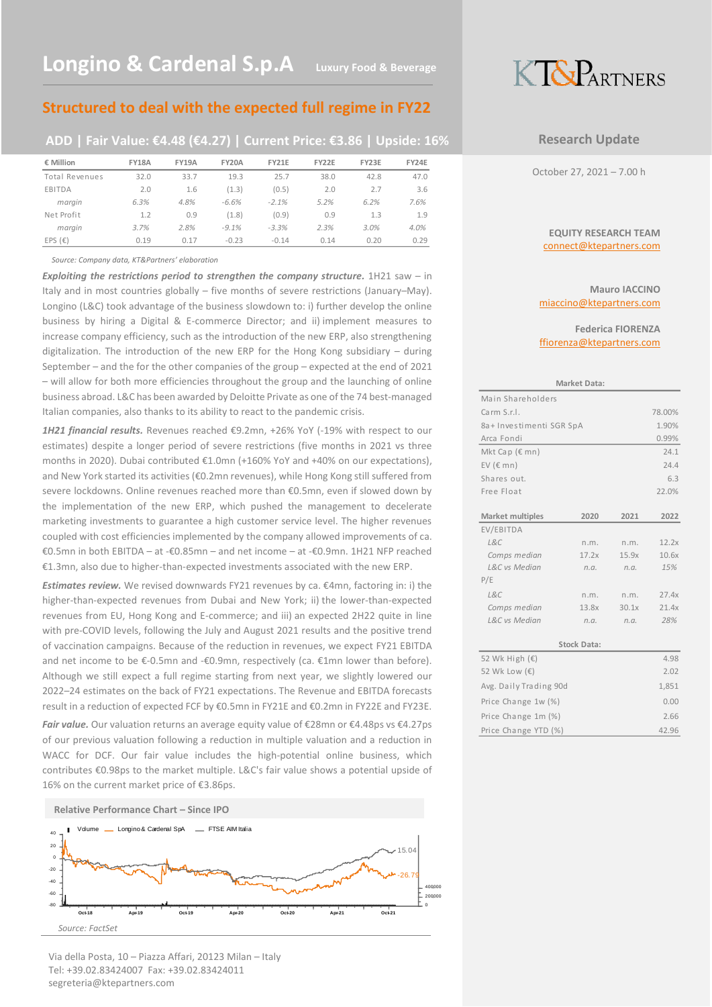## **Structured to deal with the expected full regime in FY22**

## **ADD | Fair Value: €4.48 (€4.27) | Current Price: €3.86 | Upside: 16%**

| € Million             | <b>FY18A</b> | <b>FY19A</b> | <b>FY20A</b> | <b>FY21E</b> | <b>FY22E</b> | FY23E | FY24E |
|-----------------------|--------------|--------------|--------------|--------------|--------------|-------|-------|
| <b>Total Revenues</b> | 32.0         | 33.7         | 19.3         | 25.7         | 38.0         | 42.8  | 47.0  |
| EBITDA                | 2.0          | 1.6          | (1.3)        | (0.5)        | 2.0          | 2.7   | 3.6   |
| margin                | 6.3%         | 4.8%         | $-6.6%$      | $-2.1%$      | 5.2%         | 6.2%  | 7.6%  |
| Net Profit            | 1.2          | 0.9          | (1.8)        | (0.9)        | 0.9          | 1.3   | 1.9   |
| margin                | 3.7%         | 2.8%         | $-9.1%$      | $-3.3%$      | 2.3%         | 3.0%  | 4.0%  |
| EPS $(E)$             | 0.19         | 0.17         | $-0.23$      | $-0.14$      | 0.14         | 0.20  | 0.29  |

*Source: Company data, KT&Partners' elaboration*

*Exploiting the restrictions period to strengthen the company structure.* 1H21 saw – in Italy and in most countries globally – five months of severe restrictions (January–May). Longino (L&C) took advantage of the business slowdown to: i) further develop the online business by hiring a Digital & E-commerce Director; and ii) implement measures to increase company efficiency, such as the introduction of the new ERP, also strengthening digitalization. The introduction of the new ERP for the Hong Kong subsidiary – during September – and the for the other companies of the group – expected at the end of 2021 – will allow for both more efficiencies throughout the group and the launching of online business abroad. L&C has been awarded by Deloitte Private as one of the 74 best-managed Italian companies, also thanks to its ability to react to the pandemic crisis.

*1H21 financial results.* Revenues reached €9.2mn, +26% YoY (-19% with respect to our estimates) despite a longer period of severe restrictions (five months in 2021 vs three months in 2020). Dubai contributed €1.0mn (+160% YoY and +40% on our expectations), and New York started its activities (€0.2mn revenues), while Hong Kong still suffered from severe lockdowns. Online revenues reached more than €0.5mn, even if slowed down by the implementation of the new ERP, which pushed the management to decelerate marketing investments to guarantee a high customer service level. The higher revenues coupled with cost efficiencies implemented by the company allowed improvements of ca. €0.5mn in both EBITDA – at -€0.85mn – and net income – at -€0.9mn. 1H21 NFP reached €1.3mn, also due to higher-than-expected investments associated with the new ERP.

*Estimates review.* We revised downwards FY21 revenues by ca. €4mn, factoring in: i) the higher-than-expected revenues from Dubai and New York; ii) the lower-than-expected revenues from EU, Hong Kong and E-commerce; and iii) an expected 2H22 quite in line with pre-COVID levels, following the July and August 2021 results and the positive trend of vaccination campaigns. Because of the reduction in revenues, we expect FY21 EBITDA and net income to be €-0.5mn and -€0.9mn, respectively (ca. €1mn lower than before). Although we still expect a full regime starting from next year, we slightly lowered our 2022–24 estimates on the back of FY21 expectations. The Revenue and EBITDA forecasts result in a reduction of expected FCF by €0.5mn in FY21E and €0.2mn in FY22E and FY23E.

*Fair value.* Our valuation returns an average equity value of €28mn or €4.48ps vs €4.27ps of our previous valuation following a reduction in multiple valuation and a reduction in WACC for DCF. Our fair value includes the high-potential online business, which contributes €0.98ps to the market multiple. L&C's fair value shows a potential upside of 16% on the current market price of €3.86ps.



### Via della Posta, 10 – Piazza Affari, 20123 Milan – Italy Tel: +39.02.83424007 Fax: +39.02.83424011 segreteria@ktepartners.com



## **Research Update**

October 27, 2021 – 7.00 h

### **EQUITY RESEARCH TEAM** connect@ktepartners.com

### **Mauro IACCINO** miaccino@ktepartners.com

**Federica FIORENZA** ffiorenza@ktepartners.com

| <b>Market Data:</b>     |                    |       |        |  |  |  |  |  |  |
|-------------------------|--------------------|-------|--------|--|--|--|--|--|--|
| Main Shareholders       |                    |       |        |  |  |  |  |  |  |
| Carm S.r.I.             |                    |       | 78.00% |  |  |  |  |  |  |
| 8a+Investimenti SGR SpA |                    |       | 1.90%  |  |  |  |  |  |  |
| Arca Fondi              |                    |       | 0.99%  |  |  |  |  |  |  |
| Mkt Cap (€ mn)          |                    |       | 24.1   |  |  |  |  |  |  |
| EV $(\epsilon$ mn)      |                    |       | 24.4   |  |  |  |  |  |  |
| Shares out.             |                    |       | 6.3    |  |  |  |  |  |  |
| Free Float              |                    |       | 22.0%  |  |  |  |  |  |  |
|                         |                    |       |        |  |  |  |  |  |  |
| Market multiples        | 2020               | 2021  | 2022   |  |  |  |  |  |  |
| EV/EBITDA               |                    |       |        |  |  |  |  |  |  |
| LRC                     | n.m.               | n.m.  | 12.2x  |  |  |  |  |  |  |
| Comps median            | 17.2x              | 15.9x | 10.6x  |  |  |  |  |  |  |
| L&C vs Median           | n.a.               | n.a.  | 15%    |  |  |  |  |  |  |
| P/E                     |                    |       |        |  |  |  |  |  |  |
| L&C                     | n.m.               | n.m.  | 27.4x  |  |  |  |  |  |  |
| Comps median            | 13.8x              | 30.1x | 21.4x  |  |  |  |  |  |  |
| L&C vs Median           | n.a.               | n.a.  | 28%    |  |  |  |  |  |  |
|                         |                    |       |        |  |  |  |  |  |  |
|                         | <b>Stock Data:</b> |       |        |  |  |  |  |  |  |
| 52 Wk High (€)          |                    |       | 4.98   |  |  |  |  |  |  |
| 52 Wk Low (€)           |                    |       | 2.02   |  |  |  |  |  |  |
| Avg. Daily Trading 90d  |                    |       | 1,851  |  |  |  |  |  |  |
| Price Change 1w (%)     |                    |       | 0.00   |  |  |  |  |  |  |
| Price Change 1m (%)     |                    |       | 2.66   |  |  |  |  |  |  |
| Price Change YTD (%)    |                    |       | 42.96  |  |  |  |  |  |  |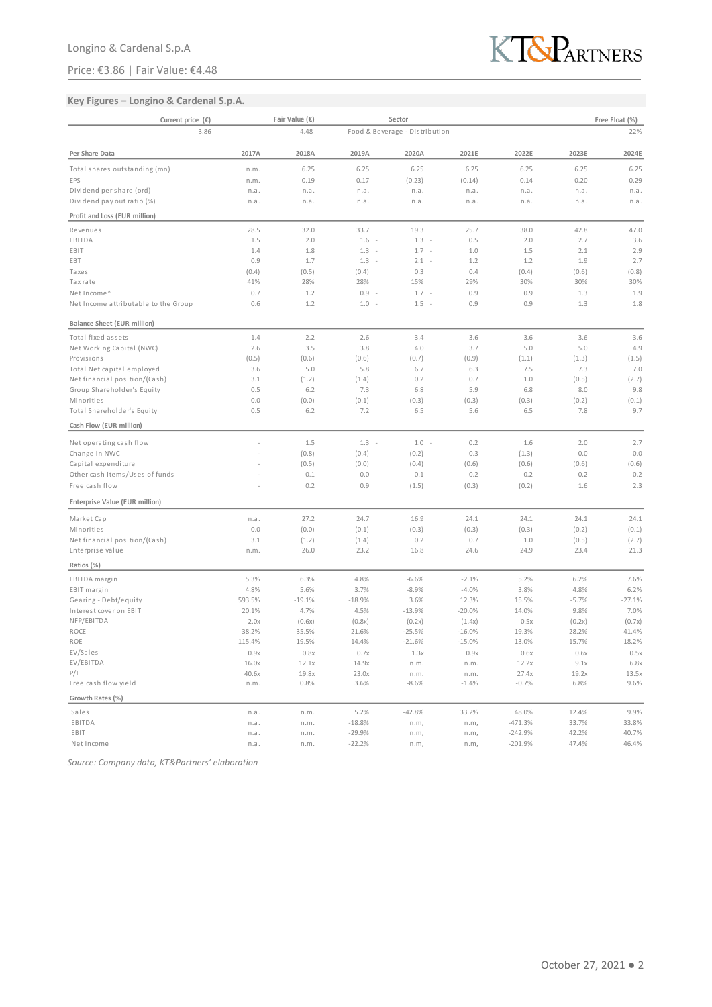## Price: €3.86 | Fair Value: €4.48



## **Key Figures – Longino & Cardenal S.p.A.**

| Current price $(\epsilon)$                        |        | Fair Value (€) |                | Sector                          |              |              |                | Free Float (%) |
|---------------------------------------------------|--------|----------------|----------------|---------------------------------|--------------|--------------|----------------|----------------|
| 3.86                                              |        | 4.48           |                | Food & Beverage - Distribution  |              |              |                | 22%            |
| Per Share Data                                    | 2017A  | 2018A          | 2019A          | 2020A                           | 2021E        | 2022E        | 2023E          | 2024E          |
| Total shares outstanding (mn)                     | n.m.   | 6.25           | 6.25           | 6.25                            | 6.25         | 6.25         | 6.25           | 6.25           |
| EPS                                               | n.m.   | 0.19           | 0.17           | (0.23)                          | (0.14)       | 0.14         | 0.20           | 0.29           |
| Dividend per share (ord)                          | n.a.   | n.a.           | n.a.           | n.a.                            | n.a.         | n.a.         | n.a.           | n.a.           |
| Dividend pay out ratio (%)                        | n.a.   | n.a.           | n.a.           | n.a.                            | n.a.         | n.a.         | n.a.           | n.a.           |
| Profit and Loss (EUR million)                     |        |                |                |                                 |              |              |                |                |
| Revenues                                          | 28.5   | 32.0           | 33.7           | 19.3                            | 25.7         | 38.0         | 42.8           | 47.0           |
| EBITDA                                            | 1.5    | 2.0            | $1.6 -$        | 1.3<br>$\overline{\phantom{a}}$ | 0.5          | 2.0          | 2.7            | 3.6            |
| EBIT                                              | 1.4    | 1.8            | $1.3 -$        | $1.7 -$                         | 1.0          | 1.5          | 2.1            | 2.9            |
| EBT                                               | 0.9    | 1.7            | $1.3 -$        | $2.1 -$                         | 1.2          | 1.2          | 1.9            | 2.7            |
| Taxes                                             | (0.4)  | (0.5)          | (0.4)          | 0.3                             | 0.4          | (0.4)        | (0.6)          | (0.8)          |
| Taxrate                                           | 41%    | 28%            | 28%            | 15%                             | 29%          | 30%          | 30%            | 30%            |
| Net Income*                                       | 0.7    | 1.2            | $0.9 -$        | $1.7 -$                         | 0.9          | 0.9          | 1.3            | 1.9            |
| Net Income attributable to the Group              | 0.6    | 1.2            | $1.0 -$        | $1.5 -$                         | 0.9          | 0.9          | 1.3            | 1.8            |
| <b>Balance Sheet (EUR million)</b>                |        |                |                |                                 |              |              |                |                |
| Total fixed assets                                | 1.4    | 2.2            | 2.6            | 3.4                             | 3.6          | 3.6          | 3.6            | 3.6            |
| Net Working Capital (NWC)                         | 2.6    | 3.5            | 3.8            | 4.0                             | 3.7          | 5.0          | 5.0            | 4.9            |
| Provisions                                        | (0.5)  | (0.6)          | (0.6)          | (0.7)                           | (0.9)        | (1.1)        | (1.3)          | (1.5)          |
| Total Net capital employed                        | 3.6    | 5.0            | 5.8            | 6.7                             | 6.3          | 7.5          | 7.3            | 7.0            |
| Net financial position/(Cash)                     | 3.1    | (1.2)          | (1.4)          | 0.2                             | 0.7          | 1.0          | (0.5)          | (2.7)          |
| Group Shareholder's Equity                        | 0.5    | 6.2            | 7.3            | 6.8                             | 5.9          | 6.8          | 8.0            | 9.8            |
| Minorities                                        | 0.0    | (0.0)          | (0.1)          | (0.3)                           | (0.3)        | (0.3)        | (0.2)          | (0.1)          |
| Total Shareholder's Equity                        | 0.5    | 6.2            | 7.2            | 6.5                             | 5.6          | 6.5          | 7.8            | 9.7            |
| Cash Flow (EUR million)                           |        |                |                |                                 |              |              |                |                |
| Net operating cash flow                           |        | 1.5            | $1.3 -$        | $1.0 -$                         | 0.2          | 1.6          | 2.0            | 2.7            |
| Change in NWC                                     |        | (0.8)          | (0.4)          | (0.2)                           | 0.3          | (1.3)        | 0.0            | 0.0            |
| Capital expenditure                               |        | (0.5)          | (0.0)          | (0.4)                           | (0.6)        | (0.6)        | (0.6)          | (0.6)          |
| Other cash items/Uses of funds                    |        | 0.1            | 0.0            | 0.1                             | 0.2          | 0.2          | 0.2            | 0.2            |
| Free cash flow                                    |        | 0.2            | 0.9            | (1.5)                           | (0.3)        | (0.2)        | 1.6            | 2.3            |
| Enterprise Value (EUR million)                    |        |                |                |                                 |              |              |                |                |
| Market Cap                                        | n.a.   | 27.2           | 24.7           | 16.9                            | 24.1         | 24.1         | 24.1           | 24.1           |
| Minorities                                        | 0.0    |                |                |                                 |              |              |                |                |
|                                                   | 3.1    | (0.0)          | (0.1)<br>(1.4) | (0.3)<br>0.2                    | (0.3)<br>0.7 | (0.3)<br>1.0 | (0.2)<br>(0.5) | (0.1)          |
| Net financial position/(Cash)<br>Enterprise value | n.m.   | (1.2)<br>26.0  | 23.2           | 16.8                            | 24.6         | 24.9         | 23.4           | (2.7)<br>21.3  |
| Ratios (%)                                        |        |                |                |                                 |              |              |                |                |
| EBITDA margin                                     | 5.3%   | 6.3%           | 4.8%           | $-6.6%$                         | $-2.1%$      | 5.2%         | 6.2%           | 7.6%           |
| EBIT margin                                       | 4.8%   | 5.6%           | 3.7%           | $-8.9%$                         | $-4.0%$      | 3.8%         | 4.8%           | 6.2%           |
| Gearing - Debt/equity                             | 593.5% | $-19.1%$       | $-18.9%$       | 3.6%                            | 12.3%        | 15.5%        | $-5.7%$        | $-27.1%$       |
| Interest cover on EBIT                            | 20.1%  | 4.7%           | 4.5%           | $-13.9%$                        | $-20.0%$     | 14.0%        | 9.8%           | 7.0%           |
| NFP/EBITDA                                        | 2.0x   | (0.6x)         | (0.8x)         | (0.2x)                          | (1.4x)       | 0.5x         | (0.2x)         | (0.7x)         |
| ROCE                                              | 38.2%  | 35.5%          | 21.6%          | $-25.5%$                        | $-16.0%$     | 19.3%        | 28.2%          | 41.4%          |
| ROE                                               | 115.4% | 19.5%          | 14.4%          | $-21.6%$                        | $-15.0%$     | 13.0%        | 15.7%          | 18.2%          |
| EV/Sales                                          | 0.9x   | 0.8x           | 0.7x           | 1.3x                            | 0.9x         | 0.6x         | 0.6x           | 0.5x           |
| EV/EBITDA                                         | 16.0x  | 12.1x          | 14.9x          | n.m.                            | n.m.         | 12.2x        | 9.1x           | 6.8x           |
| P/E                                               | 40.6x  | 19.8x          | 23.0x          | n.m.                            | n.m.         | 27.4x        | 19.2x          | 13.5x          |
| Free cash flow yield                              | n.m.   | 0.8%           | 3.6%           | $-8.6%$                         | $-1.4%$      | $-0.7%$      | 6.8%           | 9.6%           |
| Growth Rates (%)                                  |        |                |                |                                 |              |              |                |                |
| Sales                                             | n.a.   | n.m.           | 5.2%           | $-42.8%$                        | 33.2%        | 48.0%        | 12.4%          | 9.9%           |
| EBITDA                                            | n.a.   | n.m.           | $-18.8%$       | n.m,                            | n.m,         | $-471.3%$    | 33.7%          | 33.8%          |
| EBIT                                              | n.a.   | n.m.           | $-29.9%$       | n.m,                            | n.m,         | $-242.9%$    | 42.2%          | 40.7%          |
| Net Income                                        | n.a.   | n.m.           | $-22.2%$       | n.m,                            | n.m,         | $-201.9%$    | 47.4%          | 46.4%          |

*Source: Company data, KT&Partners' elaboration*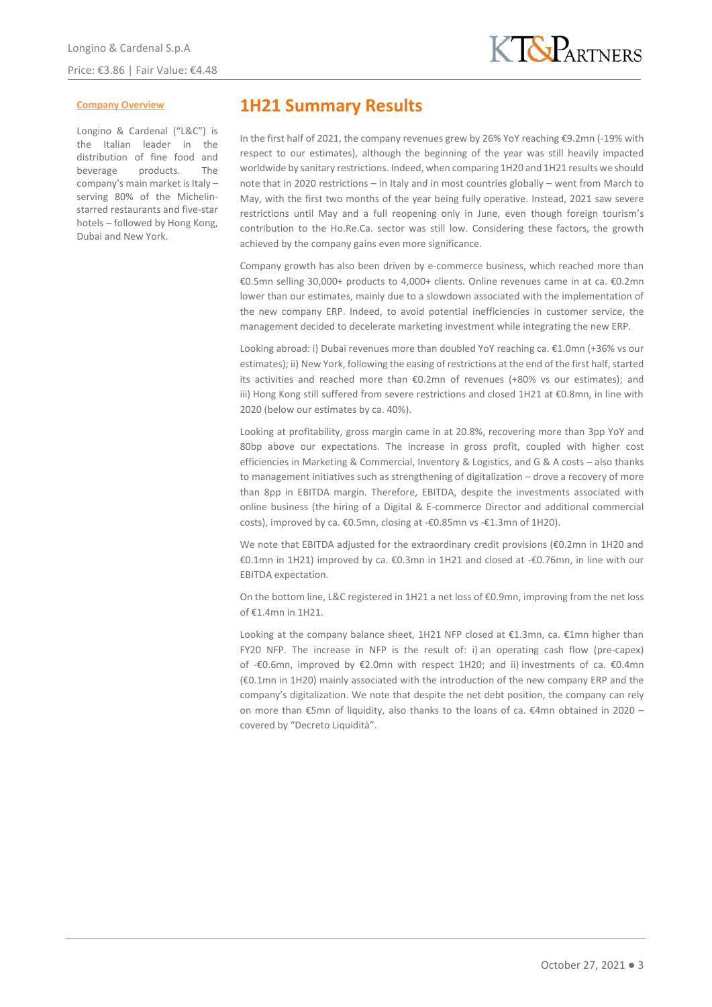### **Company Overview**

Longino & Cardenal ("L&C") is the Italian leader in the distribution of fine food and beverage products. The company's main market is Italy – serving 80% of the Michelinstarred restaurants and five-star hotels – followed by Hong Kong, Dubai and New York.

## **1H21 Summary Results**

In the first half of 2021, the company revenues grew by 26% YoY reaching €9.2mn (-19% with respect to our estimates), although the beginning of the year was still heavily impacted worldwide by sanitary restrictions. Indeed, when comparing 1H20 and 1H21 results we should note that in 2020 restrictions – in Italy and in most countries globally – went from March to May, with the first two months of the year being fully operative. Instead, 2021 saw severe restrictions until May and a full reopening only in June, even though foreign tourism's contribution to the Ho.Re.Ca. sector was still low. Considering these factors, the growth achieved by the company gains even more significance.

Company growth has also been driven by e-commerce business, which reached more than €0.5mn selling 30,000+ products to 4,000+ clients. Online revenues came in at ca. €0.2mn lower than our estimates, mainly due to a slowdown associated with the implementation of the new company ERP. Indeed, to avoid potential inefficiencies in customer service, the management decided to decelerate marketing investment while integrating the new ERP.

Looking abroad: i) Dubai revenues more than doubled YoY reaching ca. €1.0mn (+36% vs our estimates); ii) New York, following the easing of restrictions at the end of the first half, started its activities and reached more than €0.2mn of revenues (+80% vs our estimates); and iii) Hong Kong still suffered from severe restrictions and closed 1H21 at €0.8mn, in line with 2020 (below our estimates by ca. 40%).

Looking at profitability, gross margin came in at 20.8%, recovering more than 3pp YoY and 80bp above our expectations. The increase in gross profit, coupled with higher cost efficiencies in Marketing & Commercial, Inventory & Logistics, and G & A costs – also thanks to management initiatives such as strengthening of digitalization – drove a recovery of more than 8pp in EBITDA margin. Therefore, EBITDA, despite the investments associated with online business (the hiring of a Digital & E-commerce Director and additional commercial costs), improved by ca. €0.5mn, closing at -€0.85mn vs -€1.3mn of 1H20).

We note that EBITDA adjusted for the extraordinary credit provisions (€0.2mn in 1H20 and €0.1mn in 1H21) improved by ca. €0.3mn in 1H21 and closed at -€0.76mn, in line with our EBITDA expectation.

On the bottom line, L&C registered in 1H21 a net loss of €0.9mn, improving from the net loss of €1.4mn in 1H21.

Looking at the company balance sheet, 1H21 NFP closed at  $£1.3$ mn, ca.  $£1$ mn higher than FY20 NFP. The increase in NFP is the result of: i) an operating cash flow (pre-capex) of -€0.6mn, improved by €2.0mn with respect 1H20; and ii) investments of ca. €0.4mn (€0.1mn in 1H20) mainly associated with the introduction of the new company ERP and the company's digitalization. We note that despite the net debt position, the company can rely on more than €5mn of liquidity, also thanks to the loans of ca. €4mn obtained in 2020 – covered by "Decreto Liquidità".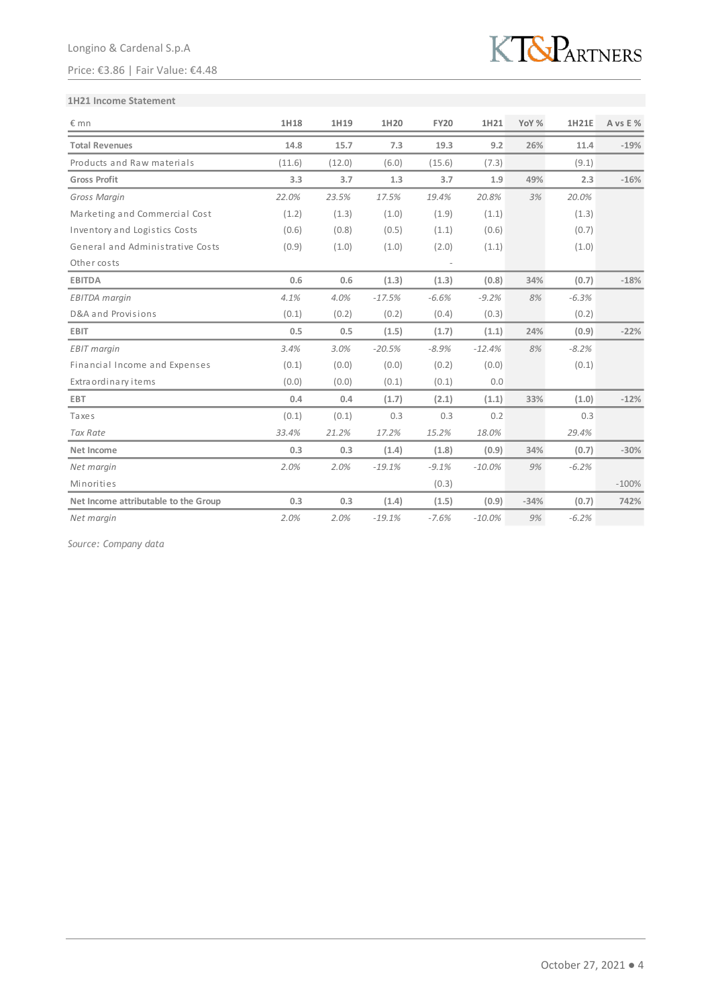## Price: €3.86 | Fair Value: €4.48



### **1H21 Income Statement**

| $E$ mn                               | 1H18   | 1H19   | 1H20     | <b>FY20</b> | 1H21     | YoY %  | <b>1H21E</b> | A vs E % |
|--------------------------------------|--------|--------|----------|-------------|----------|--------|--------------|----------|
| <b>Total Revenues</b>                | 14.8   | 15.7   | 7.3      | 19.3        | 9.2      | 26%    | 11.4         | $-19%$   |
| Products and Raw materials           | (11.6) | (12.0) | (6.0)    | (15.6)      | (7.3)    |        | (9.1)        |          |
| <b>Gross Profit</b>                  | 3.3    | 3.7    | 1.3      | 3.7         | 1.9      | 49%    | 2.3          | $-16%$   |
| Gross Margin                         | 22.0%  | 23.5%  | 17.5%    | 19.4%       | 20.8%    | 3%     | 20.0%        |          |
| Marketing and Commercial Cost        | (1.2)  | (1.3)  | (1.0)    | (1.9)       | (1.1)    |        | (1.3)        |          |
| Inventory and Logistics Costs        | (0.6)  | (0.8)  | (0.5)    | (1.1)       | (0.6)    |        | (0.7)        |          |
| General and Administrative Costs     | (0.9)  | (1.0)  | (1.0)    | (2.0)       | (1.1)    |        | (1.0)        |          |
| Other costs                          |        |        |          |             |          |        |              |          |
| <b>EBITDA</b>                        | 0.6    | 0.6    | (1.3)    | (1.3)       | (0.8)    | 34%    | (0.7)        | $-18%$   |
| <b>EBITDA</b> margin                 | 4.1%   | 4.0%   | $-17.5%$ | $-6.6%$     | $-9.2%$  | 8%     | $-6.3%$      |          |
| D&A and Provisions                   | (0.1)  | (0.2)  | (0.2)    | (0.4)       | (0.3)    |        | (0.2)        |          |
| <b>EBIT</b>                          | 0.5    | 0.5    | (1.5)    | (1.7)       | (1.1)    | 24%    | (0.9)        | $-22%$   |
| <b>EBIT</b> margin                   | 3.4%   | 3.0%   | $-20.5%$ | $-8.9%$     | $-12.4%$ | 8%     | $-8.2%$      |          |
| Financial Income and Expenses        | (0.1)  | (0.0)  | (0.0)    | (0.2)       | (0.0)    |        | (0.1)        |          |
| Extra ordinary items                 | (0.0)  | (0.0)  | (0.1)    | (0.1)       | 0.0      |        |              |          |
| <b>EBT</b>                           | 0.4    | 0.4    | (1.7)    | (2.1)       | (1.1)    | 33%    | (1.0)        | $-12%$   |
| Taxes                                | (0.1)  | (0.1)  | 0.3      | 0.3         | 0.2      |        | 0.3          |          |
| <b>Tax Rate</b>                      | 33.4%  | 21.2%  | 17.2%    | 15.2%       | 18.0%    |        | 29.4%        |          |
| Net Income                           | 0.3    | 0.3    | (1.4)    | (1.8)       | (0.9)    | 34%    | (0.7)        | $-30%$   |
| Net margin                           | 2.0%   | 2.0%   | $-19.1%$ | $-9.1%$     | $-10.0%$ | 9%     | $-6.2%$      |          |
| Minorities                           |        |        |          | (0.3)       |          |        |              | $-100%$  |
| Net Income attributable to the Group | 0.3    | 0.3    | (1.4)    | (1.5)       | (0.9)    | $-34%$ | (0.7)        | 742%     |
| Net margin                           | 2.0%   | 2.0%   | $-19.1%$ | $-7.6%$     | $-10.0%$ | 9%     | $-6.2%$      |          |

*Source: Company data*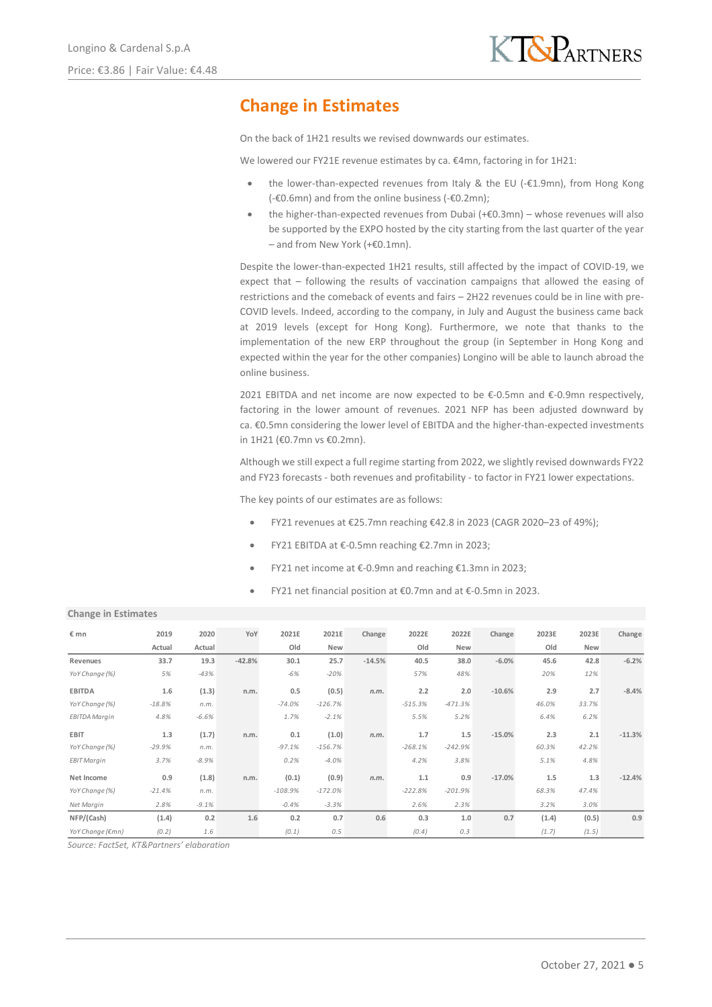# **Change in Estimates**

On the back of 1H21 results we revised downwards our estimates.

We lowered our FY21E revenue estimates by ca. €4mn, factoring in for 1H21:

- the lower-than-expected revenues from Italy & the EU (-€1.9mn), from Hong Kong (-€0.6mn) and from the online business (-€0.2mn);
- the higher-than-expected revenues from Dubai (+€0.3mn) whose revenues will also be supported by the EXPO hosted by the city starting from the last quarter of the year – and from New York (+€0.1mn).

Despite the lower-than-expected 1H21 results, still affected by the impact of COVID-19, we expect that – following the results of vaccination campaigns that allowed the easing of restrictions and the comeback of events and fairs – 2H22 revenues could be in line with pre-COVID levels. Indeed, according to the company, in July and August the business came back at 2019 levels (except for Hong Kong). Furthermore, we note that thanks to the implementation of the new ERP throughout the group (in September in Hong Kong and expected within the year for the other companies) Longino will be able to launch abroad the online business.

2021 EBITDA and net income are now expected to be  $\epsilon$ -0.5mn and  $\epsilon$ -0.9mn respectively, factoring in the lower amount of revenues. 2021 NFP has been adjusted downward by ca. €0.5mn considering the lower level of EBITDA and the higher-than-expected investments in 1H21 (€0.7mn vs €0.2mn).

Although we still expect a full regime starting from 2022, we slightly revised downwards FY22 and FY23 forecasts - both revenues and profitability - to factor in FY21 lower expectations.

The key points of our estimates are as follows:

- FY21 revenues at €25.7mn reaching €42.8 in 2023 (CAGR 2020–23 of 49%);
- FY21 EBITDA at €-0.5mn reaching €2.7mn in 2023;
- FY21 net income at €-0.9mn and reaching €1.3mn in 2023;
- FY21 net financial position at €0.7mn and at €-0.5mn in 2023.

## **Change in Estimates**

| € mn                 | 2019     | 2020    | YoY      | 2021E     | 2021E     | Change   | 2022E     | 2022E     | Change   | 2023E | 2023E | Change   |
|----------------------|----------|---------|----------|-----------|-----------|----------|-----------|-----------|----------|-------|-------|----------|
|                      | Actual   | Actual  |          | Old       | New       |          | Old       | New       |          | Old   | New   |          |
| Revenues             | 33.7     | 19.3    | $-42.8%$ | 30.1      | 25.7      | $-14.5%$ | 40.5      | 38.0      | $-6.0%$  | 45.6  | 42.8  | $-6.2%$  |
| YoY Change (%)       | 5%       | $-43%$  |          | -6%       | $-20%$    |          | 57%       | 48%       |          | 20%   | 12%   |          |
| <b>EBITDA</b>        | 1.6      | (1.3)   | n.m.     | 0.5       | (0.5)     | n.m.     | 2.2       | 2.0       | $-10.6%$ | 2.9   | 2.7   | $-8.4%$  |
| YoY Change (%)       | $-18.8%$ | n.m.    |          | $-74.0%$  | $-126.7%$ |          | $-515.3%$ | $-471.3%$ |          | 46.0% | 33.7% |          |
| <b>EBITDA Margin</b> | 4.8%     | $-6.6%$ |          | 1.7%      | $-2.1%$   |          | 5.5%      | 5.2%      |          | 6.4%  | 6.2%  |          |
| EBIT                 | 1.3      | (1.7)   | n.m.     | 0.1       | (1.0)     | n.m.     | 1.7       | 1.5       | $-15.0%$ | 2.3   | 2.1   | $-11.3%$ |
| YoY Change (%)       | $-29.9%$ | n.m.    |          | $-97.1%$  | $-156.7%$ |          | $-268.1%$ | $-242.9%$ |          | 60.3% | 42.2% |          |
| <b>EBIT Margin</b>   | 3.7%     | $-8.9%$ |          | 0.2%      | $-4.0%$   |          | 4.2%      | 3.8%      |          | 5.1%  | 4.8%  |          |
| Net Income           | 0.9      | (1.8)   | n.m.     | (0.1)     | (0.9)     | n.m.     | 1.1       | 0.9       | $-17.0%$ | 1.5   | 1.3   | $-12.4%$ |
| YoY Change (%)       | $-21.4%$ | n.m.    |          | $-108.9%$ | $-172.0%$ |          | $-222.8%$ | $-201.9%$ |          | 68.3% | 47.4% |          |
| Net Margin           | 2.8%     | $-9.1%$ |          | $-0.4%$   | $-3.3%$   |          | 2.6%      | 2.3%      |          | 3.2%  | 3.0%  |          |
| NFP/(Cash)           | (1.4)    | 0.2     | 1.6      | 0.2       | 0.7       | 0.6      | 0.3       | 1.0       | 0.7      | (1.4) | (0.5) | 0.9      |
| YoY Change (€mn)     | (0.2)    | 1.6     |          | (0.1)     | 0.5       |          | (0.4)     | 0.3       |          | (1.7) | (1.5) |          |

*Source: FactSet, KT&Partners' elaboration*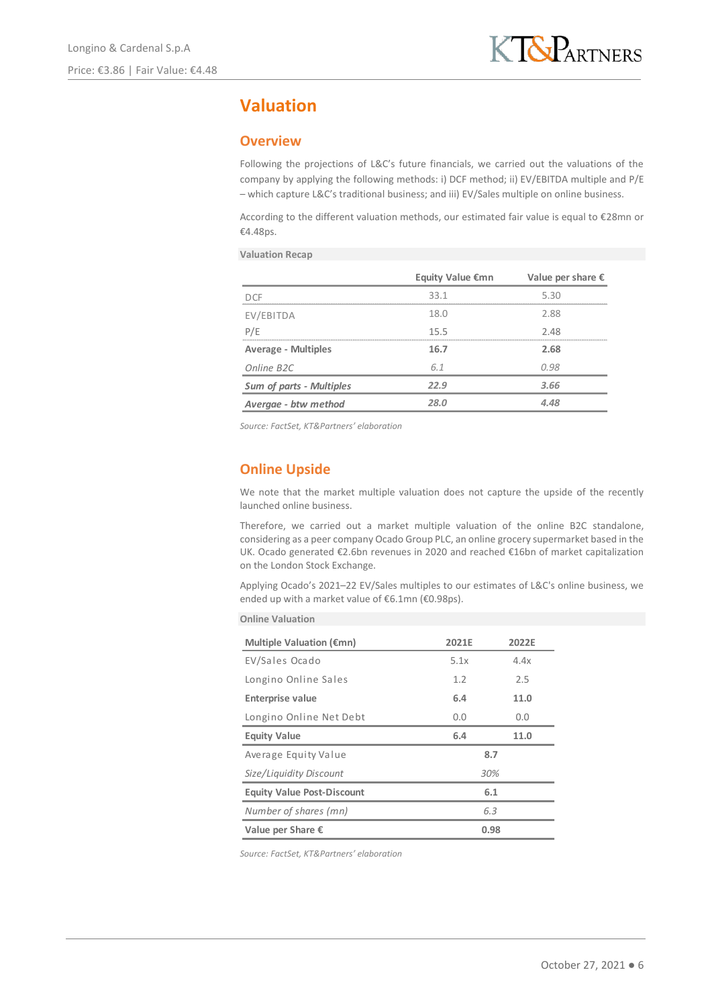# **Valuation**

## **Overview**

Following the projections of L&C's future financials, we carried out the valuations of the company by applying the following methods: i) DCF method; ii) EV/EBITDA multiple and P/E – which capture L&C's traditional business; and iii) EV/Sales multiple on online business.

According to the different valuation methods, our estimated fair value is equal to €28mn or €4.48ps.

**Valuation Recap**

|                                 | <b>Equity Value €mn</b> | Value per share $\epsilon$ |
|---------------------------------|-------------------------|----------------------------|
| DCE                             | 33.1                    | 5.30                       |
| EV/EBITDA                       | 18.0                    | 2.88                       |
| P/E                             | 15.5                    | 2.48                       |
| <b>Average - Multiples</b>      | 16.7                    | 2.68                       |
| Online B <sub>2C</sub>          | 6.1                     | 0.98                       |
| <b>Sum of parts - Multiples</b> | 22.9                    | 3.66                       |
| Avergae - btw method            | 28.N                    | 4.48                       |

*Source: FactSet, KT&Partners' elaboration*

## **Online Upside**

We note that the market multiple valuation does not capture the upside of the recently launched online business.

Therefore, we carried out a market multiple valuation of the online B2C standalone, considering as a peer company Ocado Group PLC, an online grocery supermarket based in the UK. Ocado generated €2.6bn revenues in 2020 and reached €16bn of market capitalization on the London Stock Exchange.

Applying Ocado's 2021–22 EV/Sales multiples to our estimates of L&C's online business, we ended up with a market value of €6.1mn (€0.98ps).

| <b>Online Valuation</b> |  |
|-------------------------|--|
|                         |  |

| Multiple Valuation ( $\epsilon$ mn) | 2021F        | 2022F |  |  |  |  |
|-------------------------------------|--------------|-------|--|--|--|--|
| EV/Sales Ocado                      | 5.1x<br>4.4x |       |  |  |  |  |
| Longino Online Sales                | 1.2<br>2.5   |       |  |  |  |  |
| <b>Enterprise value</b>             | 6.4<br>11.0  |       |  |  |  |  |
| Longino Online Net Debt             | 0.0          | 0.0   |  |  |  |  |
| <b>Equity Value</b>                 | 6.4          | 11.0  |  |  |  |  |
| Average Equity Value                | 8.7          |       |  |  |  |  |
| Size/Liquidity Discount             | 30%          |       |  |  |  |  |
| <b>Equity Value Post-Discount</b>   | 6.1          |       |  |  |  |  |
| Number of shares (mn)               | 6.3          |       |  |  |  |  |
| Value per Share €                   | 0.98         |       |  |  |  |  |

*Source: FactSet, KT&Partners' elaboration*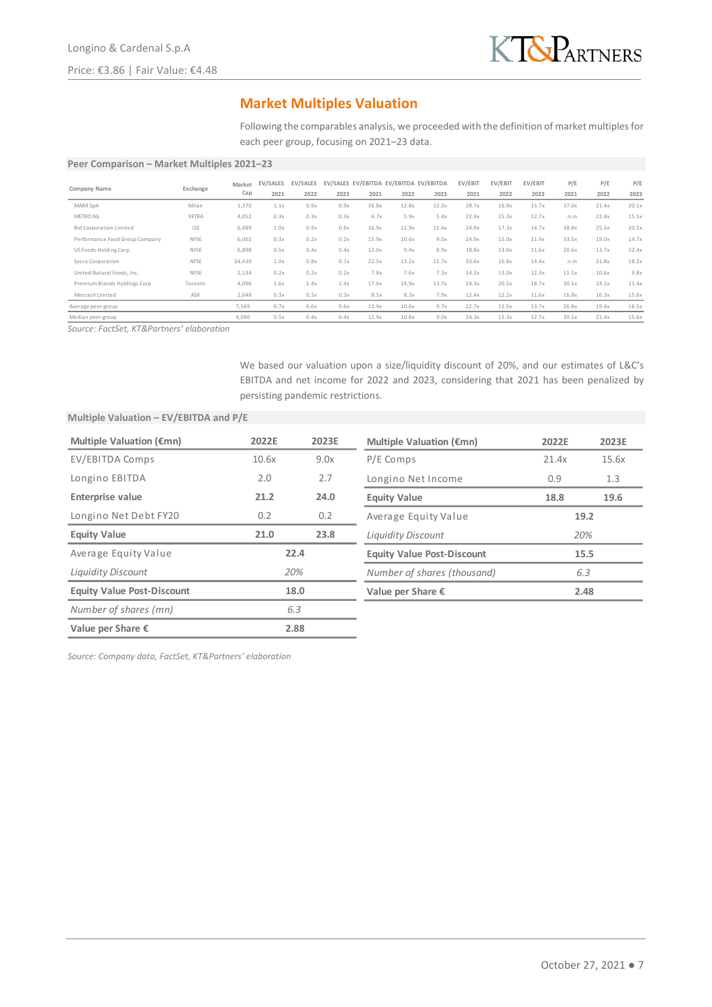

## **Market Multiples Valuation**

Following the comparables analysis, we proceeded with the definition of market multiples for each peer group, focusing on 2021–23 data.

### **Peer Comparison – Market Multiples 2021–23**

|                                |             | Market | EV/SALES | EV/SALES |      |       | EV/SALES EV/EBITDA EV/EBITDA EV/EBITDA |       | EV/EBIT | EV/EBIT | EV/EBIT | P/E   | P/E   | P/E   |
|--------------------------------|-------------|--------|----------|----------|------|-------|----------------------------------------|-------|---------|---------|---------|-------|-------|-------|
| Company Name                   | Exchange    | Cap    | 2021     | 2022     | 2023 | 2021  | 2022                                   | 2023  | 2021    | 2022    | 2023    | 2021  | 2022  | 2023  |
| MARR SpA                       | Milan       | 1,370  | 1.1x     | 0.9x     | 0.9x | 16.8x | 12.8x                                  | 12.3x | 28.7x   | 16.9x   | 15.7x   | 37.0x | 21.4x | 20.1x |
| METRO AG                       | XETRA       | 4,052  | 0.3x     | 0.3x     | 0.3x | 6.7x  | 5.9x                                   | 5.4x  | 22.9x   | 15.3x   | 12.7x   | n.m   | 22.4x | 15.5x |
| <b>Bid Corporation Limited</b> | <b>JSE</b>  | 6,489  | 1.0x     | 0.9x     | 0.8x | 16.9x | 12.9x                                  | 11.4x | 24.9x   | 17.3x   | 14.7x   | 38.8x | 25.5x | 20.5x |
| Performance Food Group Company | NYSE        | 6,002  | 0.3x     | 0.2x     | 0.2x | 15.9x | 10.6x                                  | 9.0x  | 24.9x   | 15.0x   | 11.9x   | 33.5x | 19.0x | 14.7x |
| US Foods Holding Corp.         | <b>NYSE</b> | 6,898  | 0.5x     | 0.4x     | 0.4x | 12.0x | 9.4x                                   | 8.9x  | 18.8x   | 13.0x   | 11.6x   | 20.6x | 13.7x | 12.4x |
| Sysco Corporation              | NYSE        | 34,430 | 1.0x     | 0.8x     | 0.7x | 22.5x | 13.2x                                  | 11.7x | 33.6x   | 16.8x   | 14.4x   | n.m   | 21.8x | 18.2x |
| United Natural Foods, Inc.     | NYSE        | 2,134  | 0.2x     | 0.2x     | 0.2x | 7.8x  | 7.6x                                   | 7.3x  | 14.2x   | 13.0x   | 12.3x   | 11.1x | 10.6x | 9.8x  |
| Premium Brands Holdings Corp   | Toronto     | 4,096  | 1.6x     | 1.4x     | 1.4x | 17.6x | 14.9x                                  | 13.7x | 24.3x   | 20.5x   | 18.7x   | 30.1x | 24.1x | 21.4x |
| Metcash Limited                | ASX         | 2,648  | 0.3x     | 0.3x     | 0.3x | 8.5x  | 8.3x                                   | 7.9x  | 12.4x   | 12.2x   | 11.6x   | 16.8x | 16.3x | 15.6x |
| Average peer group             |             | 7,569  | 0.7x     | 0.6x     | 0.6x | 13.9x | 10.6x                                  | 9.7x  | 22.7x   | 15.5x   | 13.7x   | 26.8x | 19.4x | 16.5x |
| Median peer group              |             | 4,096  | 0.5x     | 0.4x     | 0.4x | 15.9x | 10.6x                                  | 9.0x  | 24.3x   | 15.3x   | 12.7x   | 30.1x | 21.4x | 15.6x |

*Source: FactSet, KT&Partners' elaboration*

We based our valuation upon a size/liquidity discount of 20%, and our estimates of L&C's EBITDA and net income for 2022 and 2023, considering that 2021 has been penalized by persisting pandemic restrictions.

## **Multiple Valuation – EV/EBITDA and P/E**

| Multiple Valuation ( $\epsilon$ mn) | 2022E | 2023E | Multiple Valuation ( $\epsilon$ mn) | 2022E | 2023E |
|-------------------------------------|-------|-------|-------------------------------------|-------|-------|
| EV/EBITDA Comps                     | 10.6x | 9.0x  | P/E Comps                           | 21.4x | 15.6x |
| Longino EBITDA                      | 2.0   | 2.7   | Longino Net Income                  | 0.9   | 1.3   |
| <b>Enterprise value</b>             | 21.2  | 24.0  | <b>Equity Value</b>                 | 18.8  | 19.6  |
| Longino Net Debt FY20               | 0.2   | 0.2   | Average Equity Value                | 19.2  |       |
| <b>Equity Value</b>                 | 21.0  | 23.8  | <b>Liquidity Discount</b>           |       | 20%   |
| Average Equity Value                |       | 22.4  | <b>Equity Value Post-Discount</b>   | 15.5  |       |
| <b>Liquidity Discount</b>           |       | 20%   | Number of shares (thousand)         | 6.3   |       |
| <b>Equity Value Post-Discount</b>   |       | 18.0  | Value per Share $\epsilon$          | 2.48  |       |
| Number of shares (mn)               |       | 6.3   |                                     |       |       |
| Value per Share $\epsilon$          |       | 2.88  |                                     |       |       |

*Source: Company data, FactSet, KT&Partners' elaboration*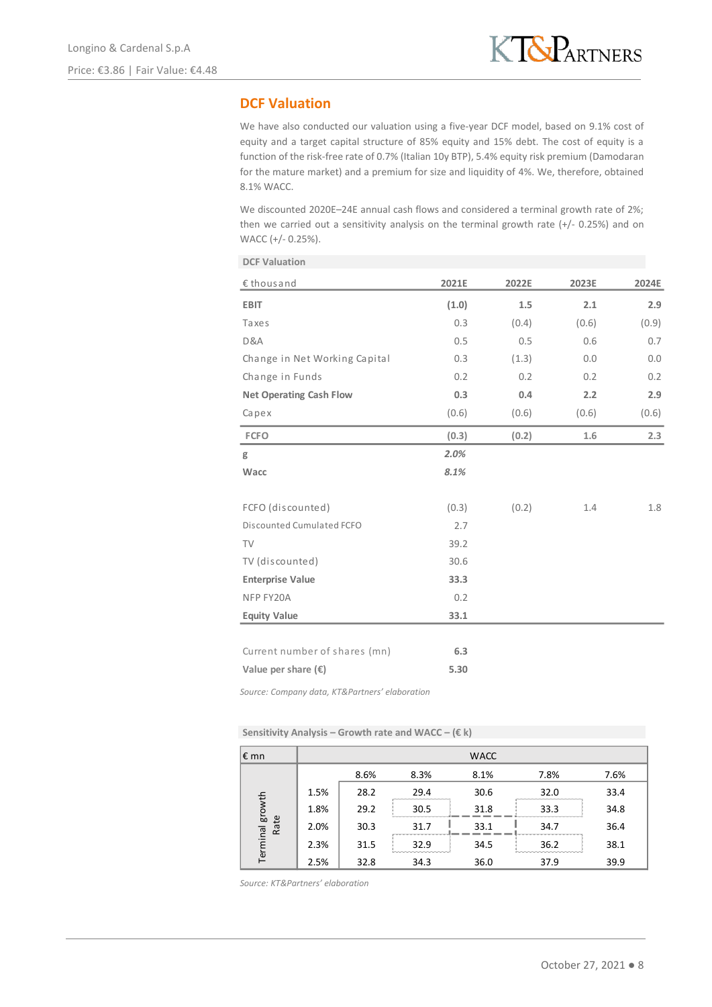## **DCF Valuation**

We have also conducted our valuation using a five-year DCF model, based on 9.1% cost of equity and a target capital structure of 85% equity and 15% debt. The cost of equity is a function of the risk-free rate of 0.7% (Italian 10y BTP), 5.4% equity risk premium (Damodaran for the mature market) and a premium for size and liquidity of 4%. We, therefore, obtained 8.1% WACC.

We discounted 2020E-24E annual cash flows and considered a terminal growth rate of 2%; then we carried out a sensitivity analysis on the terminal growth rate  $(+/- 0.25%)$  and on WACC (+/- 0.25%).

| <b>DCF Valuation</b>           |       |       |       |       |
|--------------------------------|-------|-------|-------|-------|
| €thousand                      | 2021E | 2022E | 2023E | 2024E |
| <b>EBIT</b>                    | (1.0) | 1.5   | 2.1   | 2.9   |
| Taxes                          | 0.3   | (0.4) | (0.6) | (0.9) |
| D&A                            | 0.5   | 0.5   | 0.6   | 0.7   |
| Change in Net Working Capital  | 0.3   | (1.3) | 0.0   | 0.0   |
| Change in Funds                | 0.2   | 0.2   | 0.2   | 0.2   |
| <b>Net Operating Cash Flow</b> | 0.3   | 0.4   | 2.2   | 2.9   |
| Capex                          | (0.6) | (0.6) | (0.6) | (0.6) |
| <b>FCFO</b>                    | (0.3) | (0.2) | 1.6   | 2.3   |
| g                              | 2.0%  |       |       |       |
| Wacc                           | 8.1%  |       |       |       |
| FCFO (discounted)              | (0.3) | (0.2) | 1.4   | 1.8   |
| Discounted Cumulated FCFO      | 2.7   |       |       |       |
| <b>TV</b>                      | 39.2  |       |       |       |
| TV (discounted)                | 30.6  |       |       |       |
| <b>Enterprise Value</b>        | 33.3  |       |       |       |
| NFP FY20A                      | 0.2   |       |       |       |
| <b>Equity Value</b>            | 33.1  |       |       |       |
|                                |       |       |       |       |
| Current number of shares (mn)  | 6.3   |       |       |       |
| Value per share $(\epsilon)$   | 5.30  |       |       |       |

*Source: Company data, KT&Partners' elaboration*

**Sensitivity Analysis – Growth rate and WACC – (€ k)**

| $\epsilon$ mn           |      |      |      | <b>WACC</b> |      |      |
|-------------------------|------|------|------|-------------|------|------|
|                         |      | 8.6% | 8.3% | 8.1%        | 7.8% | 7.6% |
|                         | 1.5% | 28.2 | 29.4 | 30.6        | 32.0 | 33.4 |
|                         | 1.8% | 29.2 | 30.5 | 31.8        | 33.3 | 34.8 |
|                         | 2.0% | 30.3 | 31.7 | 33.1        | 34.7 | 36.4 |
| Terminal growth<br>Rate | 2.3% | 31.5 | 32.9 | 34.5        | 36.2 | 38.1 |
|                         | 2.5% | 32.8 | 34.3 | 36.0        | 37.9 | 39.9 |

*Source: KT&Partners' elaboration*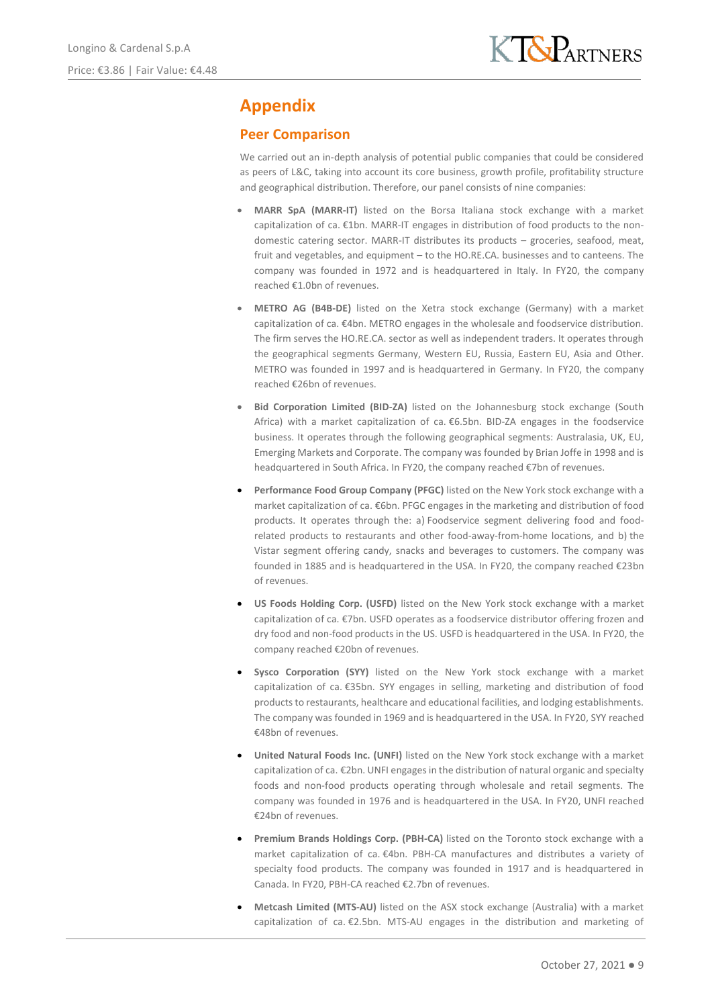# **Appendix**

## **Peer Comparison**

We carried out an in-depth analysis of potential public companies that could be considered as peers of L&C, taking into account its core business, growth profile, profitability structure and geographical distribution. Therefore, our panel consists of nine companies:

- **MARR SpA (MARR-IT)** listed on the Borsa Italiana stock exchange with a market capitalization of ca. €1bn. MARR-IT engages in distribution of food products to the nondomestic catering sector. MARR-IT distributes its products – groceries, seafood, meat, fruit and vegetables, and equipment – to the HO.RE.CA. businesses and to canteens. The company was founded in 1972 and is headquartered in Italy. In FY20, the company reached €1.0bn of revenues.
- **METRO AG (B4B-DE)** listed on the Xetra stock exchange (Germany) with a market capitalization of ca. €4bn. METRO engages in the wholesale and foodservice distribution. The firm serves the HO.RE.CA. sector as well as independent traders. It operates through the geographical segments Germany, Western EU, Russia, Eastern EU, Asia and Other. METRO was founded in 1997 and is headquartered in Germany. In FY20, the company reached €26bn of revenues.
- **Bid Corporation Limited (BID-ZA)** listed on the Johannesburg stock exchange (South Africa) with a market capitalization of ca. €6.5bn. BID-ZA engages in the foodservice business. It operates through the following geographical segments: Australasia, UK, EU, Emerging Markets and Corporate. The company was founded by Brian Joffe in 1998 and is headquartered in South Africa. In FY20, the company reached €7bn of revenues.
- **Performance Food Group Company (PFGC)** listed on the New York stock exchange with a market capitalization of ca. €6bn. PFGC engages in the marketing and distribution of food products. It operates through the: a) Foodservice segment delivering food and foodrelated products to restaurants and other food-away-from-home locations, and b) the Vistar segment offering candy, snacks and beverages to customers. The company was founded in 1885 and is headquartered in the USA. In FY20, the company reached €23bn of revenues.
- **US Foods Holding Corp. (USFD)** listed on the New York stock exchange with a market capitalization of ca. €7bn. USFD operates as a foodservice distributor offering frozen and dry food and non-food products in the US. USFD is headquartered in the USA. In FY20, the company reached €20bn of revenues.
- **Sysco Corporation (SYY)** listed on the New York stock exchange with a market capitalization of ca. €35bn. SYY engages in selling, marketing and distribution of food products to restaurants, healthcare and educational facilities, and lodging establishments. The company was founded in 1969 and is headquartered in the USA. In FY20, SYY reached €48bn of revenues.
- **United Natural Foods Inc. (UNFI)** listed on the New York stock exchange with a market capitalization of ca. €2bn. UNFI engages in the distribution of natural organic and specialty foods and non-food products operating through wholesale and retail segments. The company was founded in 1976 and is headquartered in the USA. In FY20, UNFI reached €24bn of revenues.
- **Premium Brands Holdings Corp. (PBH-CA)** listed on the Toronto stock exchange with a market capitalization of ca. €4bn. PBH-CA manufactures and distributes a variety of specialty food products. The company was founded in 1917 and is headquartered in Canada. In FY20, PBH-CA reached €2.7bn of revenues.
- **Metcash Limited (MTS-AU)** listed on the ASX stock exchange (Australia) with a market capitalization of ca. €2.5bn. MTS-AU engages in the distribution and marketing of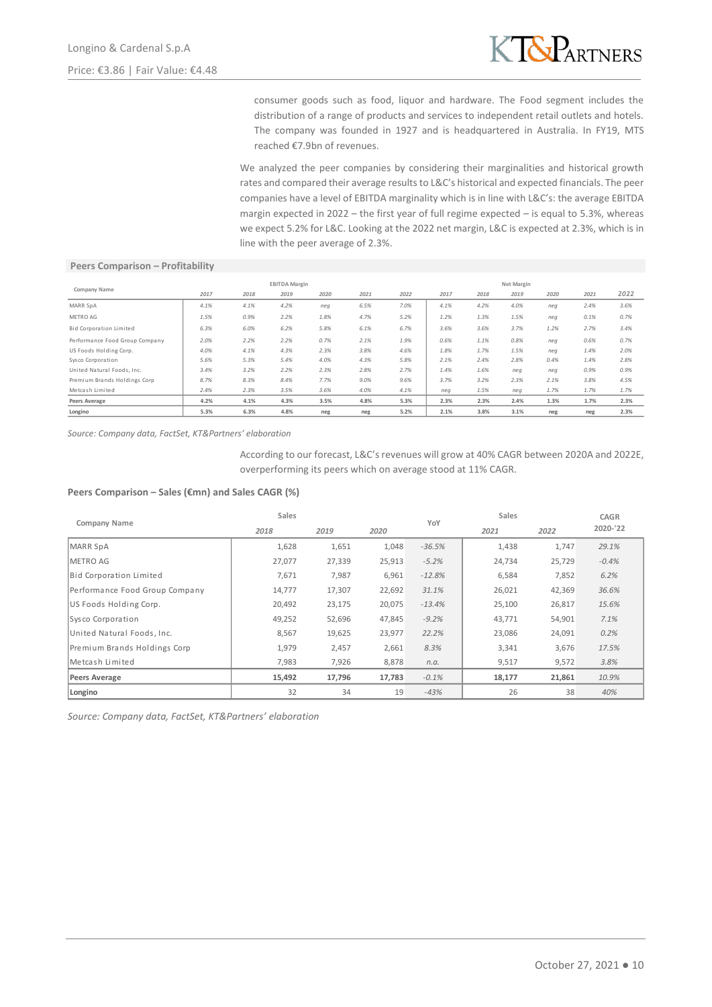

consumer goods such as food, liquor and hardware. The Food segment includes the distribution of a range of products and services to independent retail outlets and hotels. The company was founded in 1927 and is headquartered in Australia. In FY19, MTS reached €7.9bn of revenues.

We analyzed the peer companies by considering their marginalities and historical growth rates and compared their average results to L&C's historical and expected financials. The peer companies have a level of EBITDA marginality which is in line with L&C's: the average EBITDA margin expected in 2022 – the first year of full regime expected – is equal to 5.3%, whereas we expect 5.2% for L&C. Looking at the 2022 net margin, L&C is expected at 2.3%, which is in line with the peer average of 2.3%.

#### **Peers Comparison – Profitability**

|                                | <b>EBITDA Margin</b> |      |      |      |      |      | Net Margin |      |      |      |      |      |
|--------------------------------|----------------------|------|------|------|------|------|------------|------|------|------|------|------|
| Company Name                   | 2017                 | 2018 | 2019 | 2020 | 2021 | 2022 | 2017       | 2018 | 2019 | 2020 | 2021 | 2022 |
| MARR SpA                       | 4.1%                 | 4.1% | 4.2% | neg  | 6.5% | 7.0% | 4.1%       | 4.2% | 4.0% | neg  | 2.4% | 3.6% |
| METRO AG                       | 1.5%                 | 0.9% | 2.2% | 1.8% | 4.7% | 5.2% | 1.2%       | 1.3% | 1.5% | neq  | 0.1% | 0.7% |
| Bid Corporation Limited        | 6.3%                 | 6.0% | 6.2% | 5.8% | 6.1% | 6.7% | 3.6%       | 3.6% | 3.7% | 1.2% | 2.7% | 3.4% |
| Performance Food Group Company | 2.0%                 | 2.2% | 2.2% | 0.7% | 2.1% | 1.9% | 0.6%       | 1.1% | 0.8% | nea  | 0.6% | 0.7% |
| US Foods Holding Corp.         | 4.0%                 | 4.1% | 4.3% | 2.3% | 3.8% | 4.6% | 1.8%       | 1.7% | 1.5% | nea  | 1.4% | 2.0% |
| Sysco Corporation              | 5.6%                 | 5.3% | 5.4% | 4.0% | 4.3% | 5.8% | 2.1%       | 2.4% | 2.8% | 0.4% | 1.4% | 2.8% |
| United Natural Foods, Inc.     | 3.4%                 | 3.2% | 2.2% | 2.3% | 2.8% | 2.7% | 1.4%       | 1.6% | neg  | neg  | 0.9% | 0.9% |
| Premium Brands Holdings Corp   | 8.7%                 | 8.3% | 8.4% | 7.7% | 9.0% | 9.6% | 3.7%       | 3.2% | 2.3% | 2.1% | 3.8% | 4.5% |
| Metcash Limited                | 2.4%                 | 2.3% | 3.5% | 3.6% | 4.0% | 4.1% | neg        | 1.5% | neg  | 1.7% | 1.7% | 1.7% |
| Peers Average                  | 4.2%                 | 4.1% | 4.3% | 3.5% | 4.8% | 5.3% | 2.3%       | 2.3% | 2.4% | 1.3% | 1.7% | 2.3% |
| Longino                        | 5.3%                 | 6.3% | 4.8% | neg  | neg  | 5.2% | 2.1%       | 3.8% | 3.1% | neg  | neg  | 2.3% |

*Source: Company data, FactSet, KT&Partners' elaboration*

According to our forecast, L&C's revenues will grow at 40% CAGR between 2020A and 2022E, overperforming its peers which on average stood at 11% CAGR.

#### **Peers Comparison – Sales (€mn) and Sales CAGR (%)**

| Company Name                   | Sales        |        | YoY    | Sales    |              | <b>CAGR</b> |          |  |
|--------------------------------|--------------|--------|--------|----------|--------------|-------------|----------|--|
|                                | 2018<br>2019 |        | 2020   |          | 2022<br>2021 |             | 2020-'22 |  |
| <b>MARR SpA</b>                | 1,628        | 1,651  | 1,048  | $-36.5%$ | 1,438        | 1,747       | 29.1%    |  |
| METRO AG                       | 27,077       | 27,339 | 25,913 | $-5.2%$  | 24,734       | 25,729      | $-0.4%$  |  |
| Bid Corporation Limited        | 7,671        | 7,987  | 6,961  | $-12.8%$ | 6,584        | 7,852       | 6.2%     |  |
| Performance Food Group Company | 14,777       | 17,307 | 22,692 | 31.1%    | 26,021       | 42,369      | 36.6%    |  |
| US Foods Holding Corp.         | 20,492       | 23,175 | 20,075 | $-13.4%$ | 25,100       | 26,817      | 15.6%    |  |
| Sysco Corporation              | 49,252       | 52,696 | 47,845 | $-9.2%$  | 43,771       | 54,901      | 7.1%     |  |
| United Natural Foods, Inc.     | 8,567        | 19,625 | 23,977 | 22.2%    | 23,086       | 24,091      | 0.2%     |  |
| Premium Brands Holdings Corp   | 1,979        | 2,457  | 2,661  | 8.3%     | 3,341        | 3,676       | 17.5%    |  |
| Metcash Limited                | 7,983        | 7,926  | 8,878  | n.a.     | 9,517        | 9,572       | 3.8%     |  |
| Peers Average                  | 15,492       | 17,796 | 17,783 | $-0.1%$  | 18,177       | 21,861      | 10.9%    |  |
| Longino                        | 32           | 34     | 19     | $-43%$   | 26           | 38          | 40%      |  |

*Source: Company data, FactSet, KT&Partners' elaboration*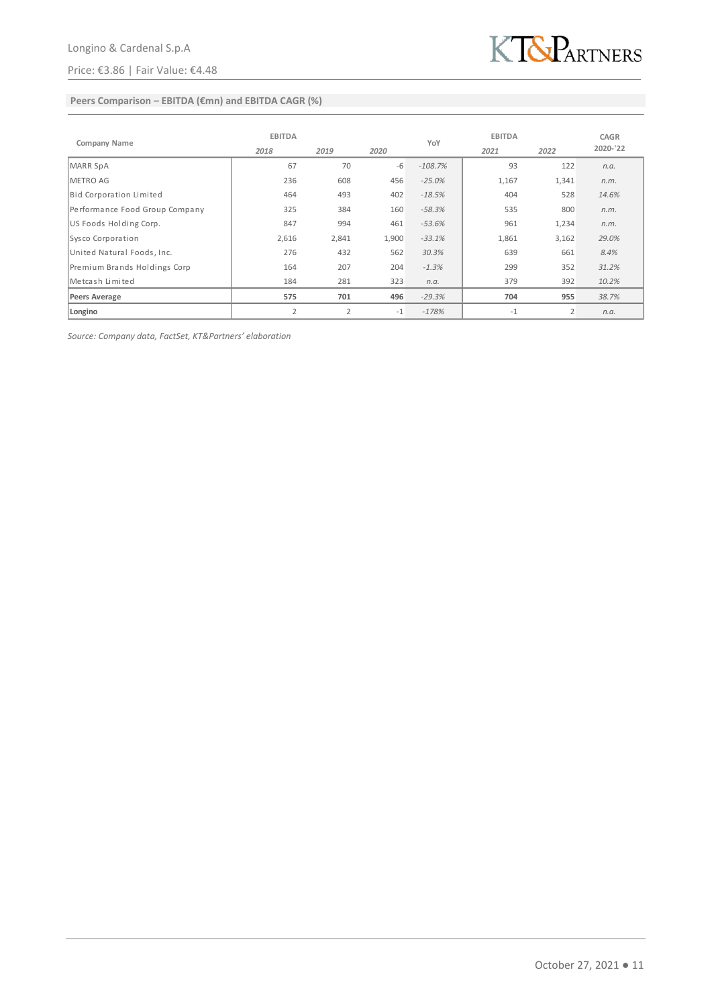## Price: €3.86 | Fair Value: €4.48



## **Peers Comparison – EBITDA (€mn) and EBITDA CAGR (%)**

|                                | <b>EBITDA</b>  |                |       |           | <b>EBITDA</b> | <b>CAGR</b> |          |
|--------------------------------|----------------|----------------|-------|-----------|---------------|-------------|----------|
| Company Name                   | 2018           | 2019           | 2020  | YoY       | 2021          | 2022        | 2020-'22 |
| <b>MARR SpA</b>                | 67             | 70             | -6    | $-108.7%$ | 93            | 122         | n.a.     |
| <b>METRO AG</b>                | 236            | 608            | 456   | $-25.0%$  | 1,167         | 1,341       | n.m.     |
| Bid Corporation Limited        | 464            | 493            | 402   | $-18.5%$  | 404           | 528         | 14.6%    |
| Performance Food Group Company | 325            | 384            | 160   | $-58.3%$  | 535           | 800         | n.m.     |
| US Foods Holding Corp.         | 847            | 994            | 461   | $-53.6%$  | 961           | 1,234       | n.m.     |
| Sysco Corporation              | 2,616          | 2,841          | 1,900 | $-33.1%$  | 1,861         | 3,162       | 29.0%    |
| United Natural Foods, Inc.     | 276            | 432            | 562   | 30.3%     | 639           | 661         | 8.4%     |
| Premium Brands Holdings Corp   | 164            | 207            | 204   | $-1.3%$   | 299           | 352         | 31.2%    |
| Metcash Limited                | 184            | 281            | 323   | n.a.      | 379           | 392         | 10.2%    |
| <b>Peers Average</b>           | 575            | 701            | 496   | $-29.3%$  | 704           | 955         | 38.7%    |
| Longino                        | $\overline{2}$ | $\overline{2}$ | $-1$  | $-178%$   | $-1$          | 2           | n.a.     |

*Source: Company data, FactSet, KT&Partners' elaboration*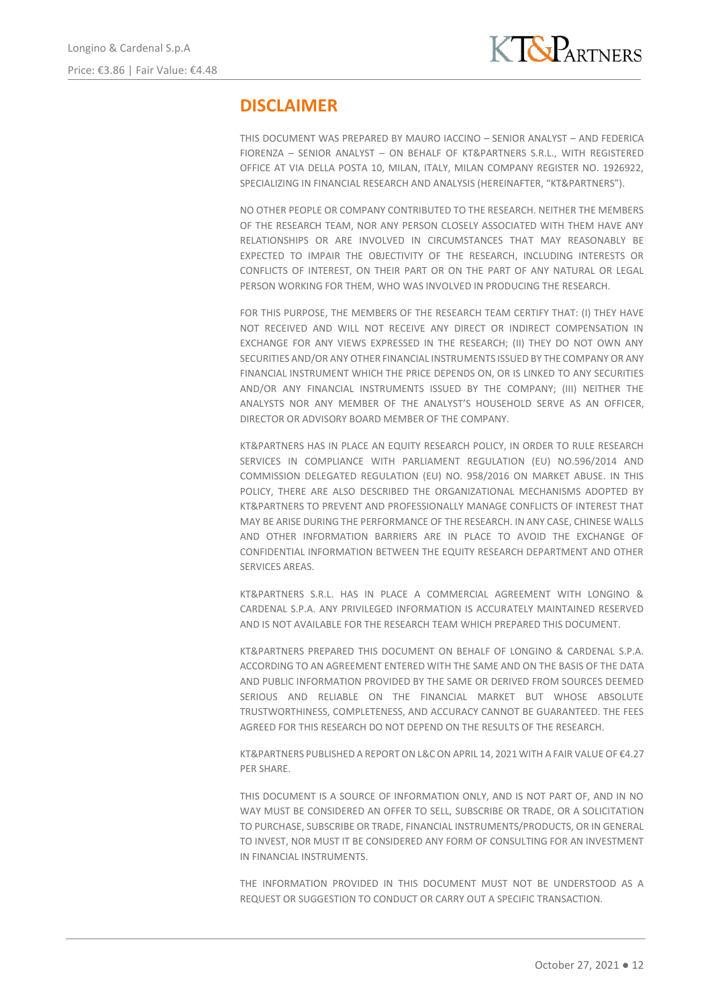

# **DISCLAIMER**

THIS DOCUMENT WAS PREPARED BY MAURO IACCINO – SENIOR ANALYST – AND FEDERICA FIORENZA – SENIOR ANALYST – ON BEHALF OF KT&PARTNERS S.R.L., WITH REGISTERED OFFICE AT VIA DELLA POSTA 10, MILAN, ITALY, MILAN COMPANY REGISTER NO. 1926922, SPECIALIZING IN FINANCIAL RESEARCH AND ANALYSIS (HEREINAFTER, "KT&PARTNERS").

NO OTHER PEOPLE OR COMPANY CONTRIBUTED TO THE RESEARCH. NEITHER THE MEMBERS OF THE RESEARCH TEAM, NOR ANY PERSON CLOSELY ASSOCIATED WITH THEM HAVE ANY RELATIONSHIPS OR ARE INVOLVED IN CIRCUMSTANCES THAT MAY REASONABLY BE EXPECTED TO IMPAIR THE OBJECTIVITY OF THE RESEARCH, INCLUDING INTERESTS OR CONFLICTS OF INTEREST, ON THEIR PART OR ON THE PART OF ANY NATURAL OR LEGAL PERSON WORKING FOR THEM, WHO WAS INVOLVED IN PRODUCING THE RESEARCH.

FOR THIS PURPOSE, THE MEMBERS OF THE RESEARCH TEAM CERTIFY THAT: (I) THEY HAVE NOT RECEIVED AND WILL NOT RECEIVE ANY DIRECT OR INDIRECT COMPENSATION IN EXCHANGE FOR ANY VIEWS EXPRESSED IN THE RESEARCH; (II) THEY DO NOT OWN ANY SECURITIES AND/OR ANY OTHER FINANCIAL INSTRUMENTS ISSUED BY THE COMPANY OR ANY FINANCIAL INSTRUMENT WHICH THE PRICE DEPENDS ON, OR IS LINKED TO ANY SECURITIES AND/OR ANY FINANCIAL INSTRUMENTS ISSUED BY THE COMPANY; (III) NEITHER THE ANALYSTS NOR ANY MEMBER OF THE ANALYST'S HOUSEHOLD SERVE AS AN OFFICER, DIRECTOR OR ADVISORY BOARD MEMBER OF THE COMPANY.

KT&PARTNERS HAS IN PLACE AN EQUITY RESEARCH POLICY, IN ORDER TO RULE RESEARCH SERVICES IN COMPLIANCE WITH PARLIAMENT REGULATION (EU) NO.596/2014 AND COMMISSION DELEGATED REGULATION (EU) NO. 958/2016 ON MARKET ABUSE. IN THIS POLICY, THERE ARE ALSO DESCRIBED THE ORGANIZATIONAL MECHANISMS ADOPTED BY KT&PARTNERS TO PREVENT AND PROFESSIONALLY MANAGE CONFLICTS OF INTEREST THAT MAY BE ARISE DURING THE PERFORMANCE OF THE RESEARCH. IN ANY CASE, CHINESE WALLS AND OTHER INFORMATION BARRIERS ARE IN PLACE TO AVOID THE EXCHANGE OF CONFIDENTIAL INFORMATION BETWEEN THE EQUITY RESEARCH DEPARTMENT AND OTHER SERVICES AREAS.

KT&PARTNERS S.R.L. HAS IN PLACE A COMMERCIAL AGREEMENT WITH LONGINO & CARDENAL S.P.A. ANY PRIVILEGED INFORMATION IS ACCURATELY MAINTAINED RESERVED AND IS NOT AVAILABLE FOR THE RESEARCH TEAM WHICH PREPARED THIS DOCUMENT.

KT&PARTNERS PREPARED THIS DOCUMENT ON BEHALF OF LONGINO & CARDENAL S.P.A. ACCORDING TO AN AGREEMENT ENTERED WITH THE SAME AND ON THE BASIS OF THE DATA AND PUBLIC INFORMATION PROVIDED BY THE SAME OR DERIVED FROM SOURCES DEEMED SERIOUS AND RELIABLE ON THE FINANCIAL MARKET BUT WHOSE ABSOLUTE TRUSTWORTHINESS, COMPLETENESS, AND ACCURACY CANNOT BE GUARANTEED. THE FEES AGREED FOR THIS RESEARCH DO NOT DEPEND ON THE RESULTS OF THE RESEARCH.

KT&PARTNERS PUBLISHED A REPORT ON L&C ON APRIL 14, 2021 WITH A FAIR VALUE OF €4.27 PER SHARE.

THIS DOCUMENT IS A SOURCE OF INFORMATION ONLY, AND IS NOT PART OF, AND IN NO WAY MUST BE CONSIDERED AN OFFER TO SELL, SUBSCRIBE OR TRADE, OR A SOLICITATION TO PURCHASE, SUBSCRIBE OR TRADE, FINANCIAL INSTRUMENTS/PRODUCTS, OR IN GENERAL TO INVEST, NOR MUST IT BE CONSIDERED ANY FORM OF CONSULTING FOR AN INVESTMENT IN FINANCIAL INSTRUMENTS.

THE INFORMATION PROVIDED IN THIS DOCUMENT MUST NOT BE UNDERSTOOD AS A REQUEST OR SUGGESTION TO CONDUCT OR CARRY OUT A SPECIFIC TRANSACTION.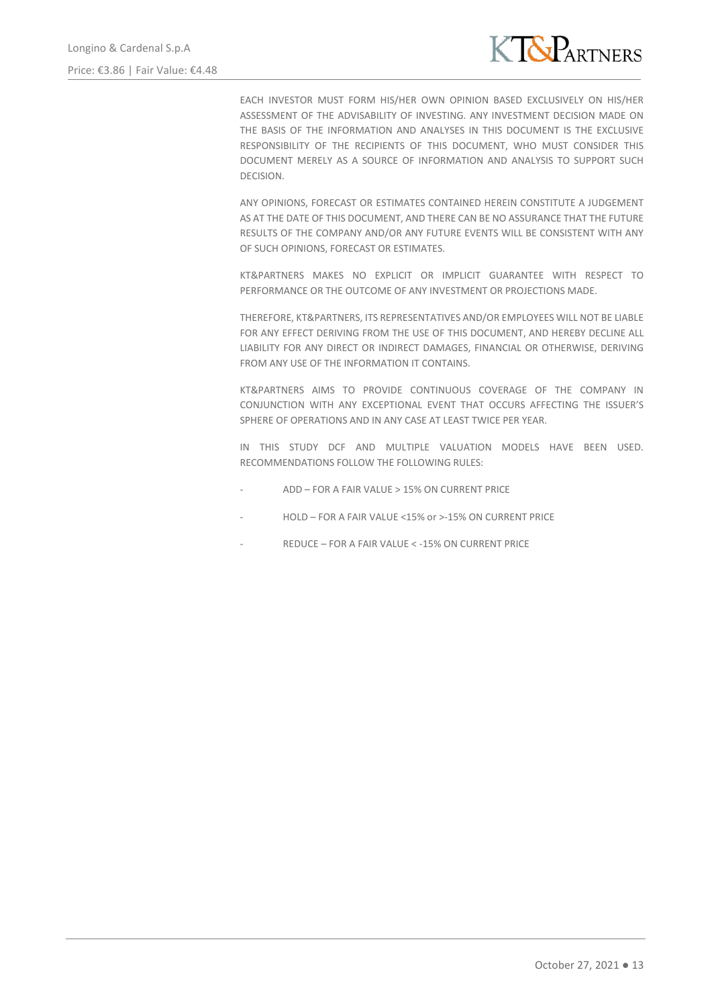

EACH INVESTOR MUST FORM HIS/HER OWN OPINION BASED EXCLUSIVELY ON HIS/HER ASSESSMENT OF THE ADVISABILITY OF INVESTING. ANY INVESTMENT DECISION MADE ON THE BASIS OF THE INFORMATION AND ANALYSES IN THIS DOCUMENT IS THE EXCLUSIVE RESPONSIBILITY OF THE RECIPIENTS OF THIS DOCUMENT, WHO MUST CONSIDER THIS DOCUMENT MERELY AS A SOURCE OF INFORMATION AND ANALYSIS TO SUPPORT SUCH DECISION.

ANY OPINIONS, FORECAST OR ESTIMATES CONTAINED HEREIN CONSTITUTE A JUDGEMENT AS AT THE DATE OF THIS DOCUMENT, AND THERE CAN BE NO ASSURANCE THAT THE FUTURE RESULTS OF THE COMPANY AND/OR ANY FUTURE EVENTS WILL BE CONSISTENT WITH ANY OF SUCH OPINIONS, FORECAST OR ESTIMATES.

KT&PARTNERS MAKES NO EXPLICIT OR IMPLICIT GUARANTEE WITH RESPECT TO PERFORMANCE OR THE OUTCOME OF ANY INVESTMENT OR PROJECTIONS MADE.

THEREFORE, KT&PARTNERS, ITS REPRESENTATIVES AND/OR EMPLOYEES WILL NOT BE LIABLE FOR ANY EFFECT DERIVING FROM THE USE OF THIS DOCUMENT, AND HEREBY DECLINE ALL LIABILITY FOR ANY DIRECT OR INDIRECT DAMAGES, FINANCIAL OR OTHERWISE, DERIVING FROM ANY USE OF THE INFORMATION IT CONTAINS.

KT&PARTNERS AIMS TO PROVIDE CONTINUOUS COVERAGE OF THE COMPANY IN CONJUNCTION WITH ANY EXCEPTIONAL EVENT THAT OCCURS AFFECTING THE ISSUER'S SPHERE OF OPERATIONS AND IN ANY CASE AT LEAST TWICE PER YEAR.

IN THIS STUDY DCF AND MULTIPLE VALUATION MODELS HAVE BEEN USED. RECOMMENDATIONS FOLLOW THE FOLLOWING RULES:

- ADD FOR A FAIR VALUE > 15% ON CURRENT PRICE
- HOLD FOR A FAIR VALUE <15% or >-15% ON CURRENT PRICE
- REDUCE FOR A FAIR VALUE < 15% ON CURRENT PRICE